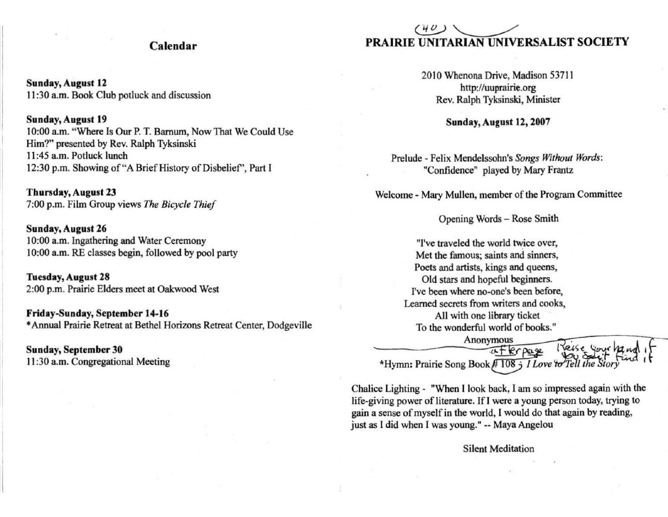## Calendar

Sunday, August 12 II :30 a.m. Book Club potluck and discussion

#### Sunday, August 19

10:00 a.m. "Where [s Our P. T. Barnum, Now That We Could Use Him?" presented by Rev. Ralph Tyksinski II :45 a.m. Potluck lunch 12:30 p.m. Showing of "A Brief History of Disbelief", Part I

Thursday, August 23 7:00 p.m. Film Group views *The Bicycle Thief* 

Sunday, August 26 10:00 a.m. Ingathering and Water Ceremony 10:00 a.m. RE classes begin, followed by pool party

Tuesday, August 28 2:00 p.m. Prairie Elders meet at Oakwood West

Friday-Sunday, September 14-16 • Annual Prairie Retreat at Bethel Horizons Retreat Center, Dodgeville

Sunday, September 30 II :30 a.m. Congregational Meeting

# PRAIRIE  $\omega$ **UNITARIAN UNIVERSALIST SOCIETY**

2010 Whenona Drive, Madison 53711 http://uuprairie.org Rev. Ralph Tyksinski, Minister

Sunday, August 12, 2007

Prelude - Felix Mendelssohn's *Songs Without Word<:*  "Confidence" played by Mary Frantz

Welcome - Mary Mullen, member of the Program Committee

Opening Words - Rose Smith

"I've traveled the world twice over, **Met the famous; saints and sinners,**  Poets and artists, kings and queens, Old stars and hopeful beginners. I've been where no-one's been before, Learned secrets from writers and cooks, All with one library ticket To the wonderful world of books."

Anonymous<br><del>E: E:</del>r paxe Reis<br>\*Hymn: Prairie Song Book #108 3 *I Love to Tell* 

Chalice Lighting - "When I look back, I am so impressed again with the life-giving power of literature. If I were a young person today, trying to gain a sense of myself in the world, I would do that again by reading, just as I did when I was young." -- Maya Angelou

Silent Meditation